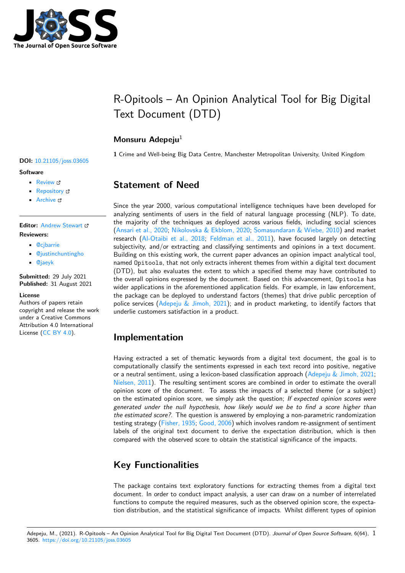

# R-Opitools – An Opinion Analytical Tool for Big Digital Text Document (DTD)

### **Monsuru Adepeju**<sup>1</sup>

**1** Crime and Well-being Big Data Centre, Manchester Metropolitan University, United Kingdom

## **Statement of Need**

Since the year 2000, various computational intelligence techniques have been developed for analyzing sentiments of users in the field of natural language processing (NLP). To date, the majority of the techniques as deployed across various fields, including social sciences (Ansari et al., 2020; Nikolovska & Ekblom, 2020; Somasundaran & Wiebe, 2010) and market research (Al-Otaibi et al., 2018; Feldman et al., 2011), have focused largely on detecting subjectivity, and/or extracting and classifying sentiments and opinions in a text document. Building on this existing work, the current paper advances an opinion impact analytical tool, named [Opitools](#page-1-0), t[hat not only extracts inherent](#page-1-1) [themes from within a digital te](#page-1-2)xt document (DTD), b[ut also evaluates the e](#page-1-3)[xtent to which a speci](#page-1-4)fied theme may have contributed to the overall opinions expressed by the document. Based on this advancement, Opitools has wider applications in the aforementioned application fields. For example, in law enforcement, the package can be deployed to understand factors (themes) that drive public perception of police services (Adepeju & Jimoh, 2021); and in product marketing, to identify factors that underlie customers satisfaction in a product.

### **Implemen[tation](#page-1-5)**

Having extracted a set of thematic keywords from a digital text document, the goal is to computationally classify the sentiments expressed in each text record into positive, negative or a neutral sentiment, using a lexicon-based classification approach (Adepeju & Jimoh, 2021; Nielsen, 2011). The resulting sentiment scores are combined in order to estimate the overall opinion score of the document. To assess the impacts of a selected theme (or a subject) on the estimated opinion score, we simply ask the question; *If expected opinion scores were generated under the null hypothesis, how likely would we be to [find a score higher than](#page-1-5) [the estimated](#page-1-6) score?*. The question is answered by employing a non-parametric randomization testing strategy (Fisher, 1935; Good, 2006) which involves random re-assignment of sentiment labels of the original text document to derive the expectation distribution, which is then compared with the observed score to obtain the statistical significance of the impacts.

### **Key Funct[ionalities](#page-1-7)**

The package contains text exploratory functions for extracting themes from a digital text document. In order to conduct impact analysis, a user can draw on a number of interrelated functions to compute the required measures, such as the observed opinion score, the expectation distribution, and the statistical significance of impacts. Whilst different types of opinion

#### **DOI:** 10.21105/joss.03605

#### **Software**

- Review &
- [Repository](https://doi.org/10.21105/joss.03605) &
- Archive

#### **Editor:** [Andrew S](https://github.com/MAnalytics/opitools)tewart **Revie[wers:](https://doi.org/10.5281/zenodo.5346595)**

- @cjbarrie
- @[justinchuntingho](https://ajstewartlang.netlify.app/)
- @jaeyk

**Subm[itted:](https://github.com/cjbarrie)** 29 July 2021 **Published:** [31 August 20](https://github.com/justinchuntingho)21

#### **Licen[se](https://github.com/jaeyk)**

Authors of papers retain copyright and release the work under a Creative Commons Attribution 4.0 International License (CC BY 4.0).

Adepeju, M., (2021). R-Opitools – An Opinion Analytical Tool for Big Digital Text Document (DTD). *Journal of Open Source Software*, 6(64), 13605. https://doi.org/10.21105/joss.03605